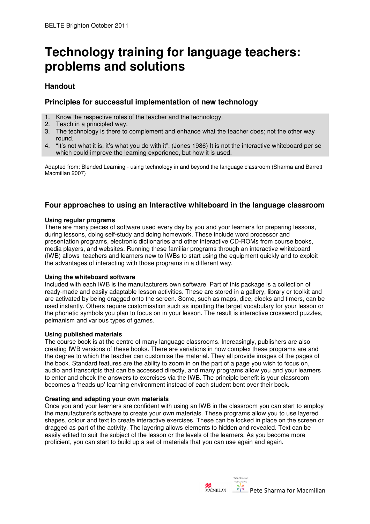# **Technology training for language teachers: problems and solutions**

# **Handout**

## **Principles for successful implementation of new technology**

- 1. Know the respective roles of the teacher and the technology.
- 2. Teach in a principled way.
- 3. The technology is there to complement and enhance what the teacher does; not the other way round.
- 4. "It's not what it is, it's what you do with it". (Jones 1986) It is not the interactive whiteboard per se which could improve the learning experience, but how it is used.

Adapted from: Blended Learning - using technology in and beyond the language classroom (Sharma and Barrett Macmillan 2007)

# **Four approaches to using an Interactive whiteboard in the language classroom**

#### **Using regular programs**

There are many pieces of software used every day by you and your learners for preparing lessons, during lessons, doing self-study and doing homework. These include word processor and presentation programs, electronic dictionaries and other interactive CD-ROMs from course books, media players, and websites. Running these familiar programs through an interactive whiteboard (IWB) allows teachers and learners new to IWBs to start using the equipment quickly and to exploit the advantages of interacting with those programs in a different way.

#### **Using the whiteboard software**

Included with each IWB is the manufacturers own software. Part of this package is a collection of ready-made and easily adaptable lesson activities. These are stored in a gallery, library or toolkit and are activated by being dragged onto the screen. Some, such as maps, dice, clocks and timers, can be used instantly. Others require customisation such as inputting the target vocabulary for your lesson or the phonetic symbols you plan to focus on in your lesson. The result is interactive crossword puzzles, pelmanism and various types of games.

### **Using published materials**

The course book is at the centre of many language classrooms. Increasingly, publishers are also creating IWB versions of these books. There are variations in how complex these programs are and the degree to which the teacher can customise the material. They all provide images of the pages of the book. Standard features are the ability to zoom in on the part of a page you wish to focus on, audio and transcripts that can be accessed directly, and many programs allow you and your learners to enter and check the answers to exercises via the IWB. The principle benefit is your classroom becomes a 'heads up' learning environment instead of each student bent over their book.

### **Creating and adapting your own materials**

Once you and your learners are confident with using an IWB in the classroom you can start to employ the manufacturer's software to create your own materials. These programs allow you to use layered shapes, colour and text to create interactive exercises. These can be locked in place on the screen or dragged as part of the activity. The layering allows elements to hidden and revealed. Text can be easily edited to suit the subject of the lesson or the levels of the learners. As you become more proficient, you can start to build up a set of materials that you can use again and again.